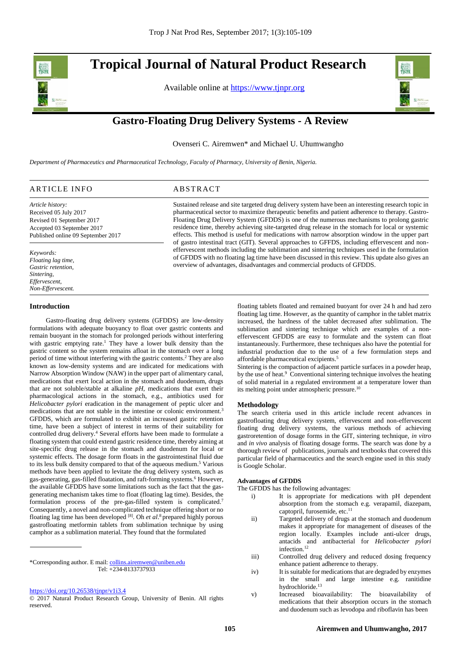# **Tropical Journal of Natural Product Research**

Available online at [https://www.tjnpr.org](https://www.tjnpr.org/)



.

# **Gastro-Floating Drug Delivery Systems - A Review**

Ovenseri C. Airemwen\* and Michael U. Uhumwangho

overview of advantages, disadvantages and commercial products of GFDDS.

*Department of Pharmaceutics and Pharmaceutical Technology, Faculty of Pharmacy, University of Benin, Nigeria.*

| <b>ARTICLE INFO</b>                | ABSTRACT                                                                                                                                                                                            |
|------------------------------------|-----------------------------------------------------------------------------------------------------------------------------------------------------------------------------------------------------|
| Article history:                   | Sustained release and site targeted drug delivery system have been an interesting research topic in                                                                                                 |
| Received 05 July 2017              | pharmaceutical sector to maximize therapeutic benefits and patient adherence to therapy. Gastro-                                                                                                    |
| Revised 01 September 2017          | Floating Drug Delivery System (GFDDS) is one of the numerous mechanisms to prolong gastric                                                                                                          |
| Accepted 03 September 2017         | residence time, thereby achieving site-targeted drug release in the stomach for local or systemic                                                                                                   |
| Published online 09 September 2017 | effects. This method is useful for medications with narrow absorption window in the upper part                                                                                                      |
|                                    | of gastro intestinal tract (GIT). Several approaches to GFFDS, including effervescent and non-                                                                                                      |
| Keywords:<br>Floating lag time,    | effervescent methods including the sublimation and sintering techniques used in the formulation<br>of GFDDS with no floating lag time have been discussed in this review. This update also gives an |

**Introduction**

*Gastric retention, Sintering, Effervescent, Non-Effervescent.*

 Gastro-floating drug delivery systems (GFDDS) are low-density formulations with adequate buoyancy to float over gastric contents and remain buoyant in the stomach for prolonged periods without interfering with gastric emptying rate. <sup>1</sup> They have a lower bulk density than the gastric content so the system remains afloat in the stomach over a long period of time without interfering with the gastric contents. <sup>2</sup> They are also known as low-density systems and are indicated for medications with Narrow Absorption Window (NAW) in the upper part of alimentary canal, medications that exert local action in the stomach and duodenum, drugs that are not soluble/stable at alkaline *pH*, medications that exert their pharmacological actions in the stomach, e.g., antibiotics used for *Helicobacter pylori* eradication in the management of peptic ulcer and medications that are not stable in the intestine or colonic environment. 3 GFDDS, which are formulated to exhibit an increased gastric retention time, have been a subject of interest in terms of their suitability for controlled drug delivery. <sup>4</sup> Several efforts have been made to formulate a floating system that could extend gastric residence time, thereby aiming at site-specific drug release in the stomach and duodenum for local or systemic effects. The dosage form floats in the gastrointestinal fluid due to its less bulk density compared to that of the aqueous medium. <sup>5</sup> Various methods have been applied to levitate the drug delivery system, such as gas-generating, gas-filled floatation, and raft-forming systems.<sup>6</sup> However, the available GFDDS have some limitations such as the fact that the gasgenerating mechanism takes time to float (floating lag time). Besides, the formulation process of the pre-gas-filled system is complicated.<sup>7</sup> Consequently, a novel and non-complicated technique offering short or no floating lag time has been developed [8]. Oh *et al*. <sup>8</sup>prepared highly porous gastrofloating metformin tablets from sublimation technique by using camphor as a sublimation material. They found that the formulated

floating tablets floated and remained buoyant for over 24 h and had zero floating lag time. However, as the quantity of camphor in the tablet matrix increased, the hardness of the tablet decreased after sublimation. The sublimation and sintering technique which are examples of a noneffervescent GFDDS are easy to formulate and the system can float instantaneously. Furthermore, these techniques also have the potential for industrial production due to the use of a few formulation steps and affordable pharmaceutical excipients. 5

Sintering is the compaction of adjacent particle surfaces in a powder heap, by the use of heat.<sup>9</sup> Conventional sintering technique involves the heating of solid material in a regulated environment at a temperature lower than its melting point under atmospheric pressure.<sup>10</sup>

### **Methodology**

The search criteria used in this article include recent advances in gastrofloating drug delivery system, effervescent and non-effervescent floating drug delivery systems, the various methods of achieving gastroretention of dosage forms in the GIT, sintering technique, *in vitro* and *in vivo* analysis of floating dosage forms. The search was done by a thorough review of publications, journals and textbooks that covered this particular field of pharmaceutics and the search engine used in this study is Google Scholar.

# **Advantages of GFDDS**

The GFDDS has the following advantages:

- i) It is appropriate for medications with pH dependent absorption from the stomach e.g. verapamil, diazepam, captopril, furosemide, etc.<sup>11</sup>
- ii) Targeted delivery of drugs at the stomach and duodenum makes it appropriate for management of diseases of the region locally. Examples include anti-ulcer drugs, antacids and antibacterial for *Helicobacter pylori* infection. 12
- iii) Controlled drug delivery and reduced dosing frequency enhance patient adherence to therapy.
- iv) It is suitable for medications that are degraded by enzymes in the small and large intestine e.g. ranitidine hydrochloride. 13
- v) Increased bioavailability: The bioavailability of medications that their absorption occurs in the stomach and duodenum such as levodopa and riboflavin has been

<sup>\*</sup>Corresponding author. E mail[: collins.airemwen@uniben.edu](mailto:collins.airemwen@uniben.edu) Tel: +234-8133737933

<https://doi.org/10.26538/tjnpr/v1i3.4>

<sup>© 2017</sup> Natural Product Research Group, University of Benin. All rights reserved.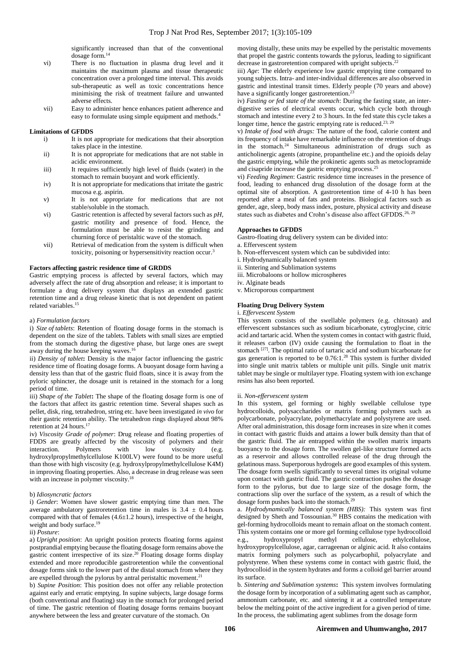significantly increased than that of the conventional dosage form. 14

- vi) There is no fluctuation in plasma drug level and it maintains the maximum plasma and tissue therapeutic concentration over a prolonged time interval. This avoids sub-therapeutic as well as toxic concentrations hence minimising the risk of treatment failure and unwanted adverse effects.
- vii) Easy to administer hence enhances patient adherence and easy to formulate using simple equipment and methods. 4

# **Limitations of GFDDS**

- i) It is not appropriate for medications that their absorption takes place in the intestine.
- ii) It is not appropriate for medications that are not stable in acidic environment.
- iii) It requires sufficiently high level of fluids (water) in the stomach to remain buoyant and work efficiently.
- iv) It is not appropriate for medications that irritate the gastric mucosa e.g. aspirin.
- v) It is not appropriate for medications that are not stable/soluble in the stomach.
- vi) Gastric retention is affected by several factors such as *pH*, gastric motility and presence of food. Hence, the formulation must be able to resist the grinding and churning force of peristaltic wave of the stomach.
- vii) Retrieval of medication from the system is difficult when toxicity, poisoning or hypersensitivity reaction occur.<sup>3</sup>

# **Factors affecting gastric residence time of GRDDS**

Gastric emptying process is affected by several factors, which may adversely affect the rate of drug absorption and release; it is important to formulate a drug delivery system that displays an extended gastric retention time and a drug release kinetic that is not dependent on patient related variables. 15

# a) *Formulation factors*

i) *Size of tablets*: Retention of floating dosage forms in the stomach is dependent on the size of the tablets. Tablets with small sizes are emptied from the stomach during the digestive phase, but large ones are swept away during the house keeping waves. 16

ii) *Density of tablet***:** Density is the major factor influencing the gastric residence time of floating dosage forms. A buoyant dosage form having a density less than that of the gastric fluid floats, since it is away from the pyloric sphincter, the dosage unit is retained in the stomach for a long period of time.

iii) *Shape of the Tablet***:** The shape of the floating dosage form is one of the factors that affect its gastric retention time. Several shapes such as pellet, disk, ring, tetrahedron, string etc. have been investigated *in vivo* for their gastric retention ability. The tetrahedron rings displayed about 98% retention at 24 hours. 17

iv) *Viscosity Grade of polymer*: Drug release and floating properties of FDDS are greatly affected by the viscosity of polymers and their interaction. Polymers with low viscosity (e.g. hydroxylpropylmethylcellulose K100LV) were found to be more useful than those with high viscosity (e.g. hydroxylpropylmethylcellulose K4M) in improving floating properties. Also, a decrease in drug release was seen with an increase in polymer viscosity.<sup>18</sup>

# b) *Idiosyncratic factors*

i) *Gender*: Women have slower gastric emptying time than men. The average ambulatory gastroretention time in males is  $3.4 \pm 0.4$  hours compared with that of females  $(4.6 \pm 1.2 \text{ hours})$ , irrespective of the height, weight and body surface. 19

# ii) *Posture*:

a) *Upright position*: An upright position protects floating forms against postprandial emptying because the floating dosage form remains above the gastric content irrespective of its size. <sup>20</sup> Floating dosage forms display extended and more reproducible gastroretention while the conventional dosage forms sink to the lower part of the distal stomach from where they are expelled through the pylorus by antral peristaltic movement. 21

b) *Supine Position*: This position does not offer any reliable protection against early and erratic emptying. In supine subjects, large dosage forms (both conventional and floating) stay in the stomach for prolonged period of time. The gastric retention of floating dosage forms remains buoyant anywhere between the less and greater curvature of the stomach. On

moving distally, these units may be expelled by the peristaltic movements that propel the gastric contents towards the pylorus, leading to significant decrease in gastroretention compared with upright subjects.<sup>22</sup>

iii) *Age*: The elderly experience low gastric emptying time compared to young subjects. Intra- and inter-individual differences are also observed in gastric and intestinal transit times. Elderly people (70 years and above) have a significantly longer gastroretention.<sup>23</sup>

iv) *Fasting or fed state of the stomach*: During the fasting state, an interdigestive series of electrical events occur, which cycle both through stomach and intestine every 2 to 3 hours. In the fed state this cycle takes a longer time, hence the gastric emptying rate is reduced.<sup>23, 29</sup>

v) *Intake of food with drugs:* The nature of the food, calorie content and its frequency of intake have remarkable influence on the retention of drugs in the stomach. <sup>24</sup> Simultaneous administration of drugs such as anticholinergic agents (atropine, propantheline etc.) and the opioids delay the gastric emptying, while the prokinetic agents such as metoclopramide and cisapride increase the gastric emptying process. 25

vi) *Feeding Regimen*: Gastric residence time increases in the presence of food, leading to enhanced drug dissolution of the dosage form at the optimal site of absorption. A gastroretention time of 4-10 h has been reported after a meal of fats and proteins. Biological factors such as gender, age, sleep, body mass index, posture, physical activity and disease states such as diabetes and Crohn's disease also affect GFDDS.<sup>26, 29</sup>

# **Approaches to GFDDS**

Gastro-floating drug delivery system can be divided into:

- a. Effervescent system
- b. Non-effervescent system which can be subdivided into:
- i. Hydrodynamically balanced system
- ii. Sintering and Sublimation systems
- iii. Microbaloons or hollow microspheres
- iv. Alginate beads
- v. Microporous compartment

# **Floating Drug Delivery System**

# i. *Effervescent System*

This system consists of the swellable polymers (e.g. chitosan) and effervescent substances such as sodium bicarbonate, cytroglycine, citric acid and tartaric acid. When the system comes in contact with gastric fluid, it releases carbon (IV) oxide causing the formulation to float in the stomach<sup>[27]</sup>. The optimal ratio of tartaric acid and sodium bicarbonate for gas generation is reported to be 0.76:1.<sup>28</sup> This system is further divided into single unit matrix tablets or multiple unit pills. Single unit matrix tablet may be single or multilayer type. Floating system with ion exchange resins has also been reported.

#### ii. *Non-effervescent system*

In this system, gel forming or highly swellable cellulose type hydrocolloids, polysaccharides or matrix forming polymers such as polycarbonate, polyacrylate, polymethacrylate and polystyrene are used. After oral administration, this dosage form increases in size when it comes in contact with gastric fluids and attains a lower bulk density than that of the gastric fluid. The air entrapped within the swollen matrix imparts buoyancy to the dosage form. The swollen gel-like structure formed acts as a reservoir and allows controlled release of the drug through the gelatinous mass. Superporous hydrogels are good examples of this system. The dosage form swells significantly to several times its original volume upon contact with gastric fluid. The gastric contraction pushes the dosage form to the pylorus, but due to large size of the dosage form, the contractions slip over the surface of the system, as a result of which the dosage form pushes back into the stomach.<sup>29</sup>

a. *Hydrodynamically balanced system (HBS):* This system was first designed by Sheth and Tossounian. <sup>30</sup> HBS contains the medication with gel-forming hydrocolloids meant to remain afloat on the stomach content. This system contains one or more gel forming cellulose type hydrocolloid e.g., hydroxypropyl methyl cellulose, ethylcellulose, hydroxypropylcellulose, agar, carrageenan or alginic acid. It also contains matrix forming polymers such as polycarbophil, polyacrylate and polystyrene. When these systems come in contact with gastric fluid, the hydrocolloid in the system hydrates and forms a colloid gel barrier around its surface.

b*. Sintering and Sublimation systems***:** This system involves formulating the dosage form by incorporation of a sublimating agent such as camphor, ammonium carbonate, etc. and sintering it at a controlled temperature below the melting point of the active ingredient for a given period of time. In the process, the sublimating agent sublimes from the dosage form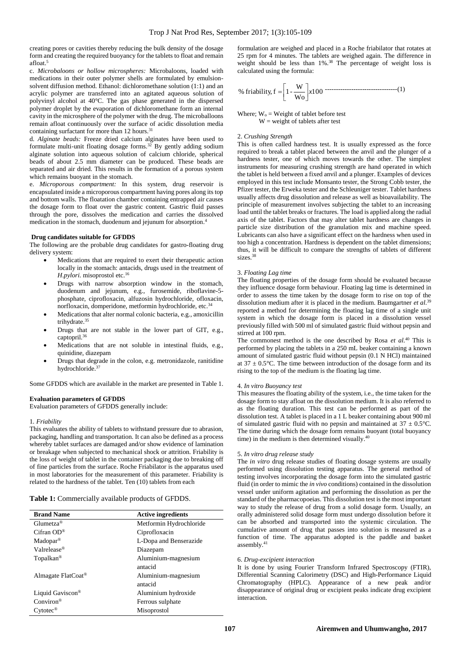creating pores or cavities thereby reducing the bulk density of the dosage form and creating the required buoyancy for the tablets to float and remain afloat. 5

c. *Microbaloons or hollow microspheres:* Microbaloons, loaded with medications in their outer polymer shells are formulated by emulsionsolvent diffusion method. Ethanol: dichloromethane solution (1:1) and an acrylic polymer are transferred into an agitated aqueous solution of polyvinyl alcohol at 40°C. The gas phase generated in the dispersed polymer droplet by the evaporation of dichloromethane form an internal cavity in the microsphere of the polymer with the drug. The microballoons remain afloat continuously over the surface of acidic dissolution media containing surfactant for more than 12 hours.<sup>31</sup>

d. *Alginate beads:* Freeze dried calcium alginates have been used to formulate multi-unit floating dosage forms. <sup>32</sup> By gently adding sodium alginate solution into aqueous solution of calcium chloride, spherical beads of about 2.5 mm diameter can be produced. These beads are separated and air dried. This results in the formation of a porous system which remains buoyant in the stomach.

e. *Microporous compartment:* In this system, drug reservoir is encapsulated inside a microporous compartment having pores along its top and bottom walls. The floatation chamber containing entrapped air causes the dosage form to float over the gastric content. Gastric fluid passes through the pore, dissolves the medication and carries the dissolved medication in the stomach, duodenum and jejunum for absorption. 4

# **Drug candidates suitable for GFDDS**

The following are the probable drug candidates for gastro-floating drug delivery system:

- Medications that are required to exert their therapeutic action locally in the stomach: antacids, drugs used in the treatment of *H*.*pylori.* misoprostol etc.<sup>16</sup>
- Drugs with narrow absorption window in the stomach, duodenum and jejunum, e.g., furosemide, riboflavine-5 phosphate, ciprofloxacin, alfuzosin hydrochloride, ofloxacin, norfloxacin, domperidone, metformin hydrochloride, etc.<sup>34</sup>
- Medications that alter normal colonic bacteria, e.g., amoxicillin trihydrate. 35
- Drugs that are not stable in the lower part of GIT, e.g., captopril.<sup>36</sup>
- Medications that are not soluble in intestinal fluids, e.g., quinidine, diazepam
- Drugs that degrade in the colon, e.g. metronidazole, ranitidine hydrochloride. 37

Some GFDDS which are available in the market are presented in Table 1.

# **Evaluation parameters of GFDDS**

Evaluation parameters of GFDDS generally include:

#### 1*. Friability*

This evaluates the ability of tablets to withstand pressure due to abrasion, packaging, handling and transportation. It can also be defined as a process whereby tablet surfaces are damaged and/or show evidence of lamination or breakage when subjected to mechanical shock or attrition. Friability is the loss of weight of tablet in the container packaging due to breaking off of fine particles from the surface. Roche Friabilator is the apparatus used in most laboratories for the measurement of this parameter. Friability is related to the hardness of the tablet. Ten (10) tablets from each

**Table 1:** Commercially available products of GFDDS.

| <b>Brand Name</b>              | <b>Active ingredients</b> |
|--------------------------------|---------------------------|
| $G$ lumetza <sup>®</sup>       | Metformin Hydrochloride   |
| Cifran $OD^{\circledR}$        | Ciprofloxacin             |
| $Madopar^®$                    | L-Dopa and Benserazide    |
| Valrelease®                    | Diazepam                  |
| Topalkan <sup>®</sup>          | Aluminium-magnesium       |
|                                | antacid                   |
| Almagate FlatCoat <sup>®</sup> | Aluminium-magnesium       |
|                                | antacid                   |
| Liquid Gaviscon <sup>®</sup>   | Aluminium hydroxide       |
| $Conviron^{\circledR}$         | Ferrous sulphate          |
| $C$ ytotec <sup>®</sup>        | Misoprostol               |

formulation are weighed and placed in a Roche friabilator that rotates at 25 rpm for 4 minutes. The tablets are weighed again. The difference in weight should be less than 1%. <sup>38</sup> The percentage of weight loss is calculated using the formula:

% friability, 
$$
f = \left[1 - \frac{W}{W_0}\right] x 100
$$

Where;  $W_0 =$  Weight of tablet before test  $W = weight of tablets after test$ 

#### 2. *Crushing Strength*

This is often called hardness test. It is usually expressed as the force required to break a tablet placed between the anvil and the plunger of a hardness tester, one of which moves towards the other. The simplest instruments for measuring crushing strength are hand operated in which the tablet is held between a fixed anvil and a plunger. Examples of devices employed in this test include Monsanto tester, the Strong Cobb tester, the Pfizer tester, the Erweka tester and the Schleuniger tester. Tablet hardness usually affects drug dissolution and release as well as bioavailability. The principle of measurement involves subjecting the tablet to an increasing load until the tablet breaks or fractures. The load is applied along the radial axis of the tablet. Factors that may alter tablet hardness are changes in particle size distribution of the granulation mix and machine speed. Lubricants can also have a significant effect on the hardness when used in too high a concentration. Hardness is dependent on the tablet dimensions; thus, it will be difficult to compare the strengths of tablets of different sizes. 38

#### 3. *Floating Lag time*

The floating properties of the dosage form should be evaluated because they influence dosage form behaviour. Floating lag time is determined in order to assess the time taken by the dosage form to rise on top of the dissolution medium after it is placed in the medium. Baumgartner *et al*. 39 reported a method for determining the floating lag time of a single unit system in which the dosage form is placed in a dissolution vessel previously filled with 500 ml of simulated gastric fluid without pepsin and stirred at 100 rpm.

The commonest method is the one described by Rosa *et al*. <sup>40</sup> This is performed by placing the tablets in a 250 mL beaker containing a known amount of simulated gastric fluid without pepsin (0.1 N HCl) maintained at  $37 \pm 0.5$ °C. The time between introduction of the dosage form and its rising to the top of the medium is the floating lag time.

#### 4. *In vitro Buoyancy test*

This measures the floating ability of the system, i.e., the time taken for the dosage form to stay afloat on the dissolution medium. It is also referred to as the floating duration. This test can be performed as part of the dissolution test. A tablet is placed in a 1 L beaker containing about 900 ml of simulated gastric fluid with no pepsin and maintained at  $37 \pm 0.5^{\circ}$ C. The time during which the dosage form remains buoyant (total buoyancy time) in the medium is then determined visually. $40$ 

#### 5. *In vitro drug release study*

The *in vitro* drug release studies of floating dosage systems are usually performed using dissolution testing apparatus. The general method of testing involves incorporating the dosage form into the simulated gastric fluid (in order to mimic the *in vivo* conditions) contained in the dissolution vessel under uniform agitation and performing the dissolution as per the standard of the pharmacopoeias. This dissolution test is the most important way to study the release of drug from a solid dosage form. Usually, an orally administered solid dosage form must undergo dissolution before it can be absorbed and transported into the systemic circulation. The cumulative amount of drug that passes into solution is measured as a function of time. The apparatus adopted is the paddle and basket assembly. 41

#### 6. *Drug-excipient interaction*

It is done by using Fourier Transform Infrared Spectroscopy (FTIR), Differential Scanning Calorimetry (DSC) and High-Performance Liquid Chromatography (HPLC). Appearance of a new peak and/or disappearance of original drug or excipient peaks indicate drug excipient interaction.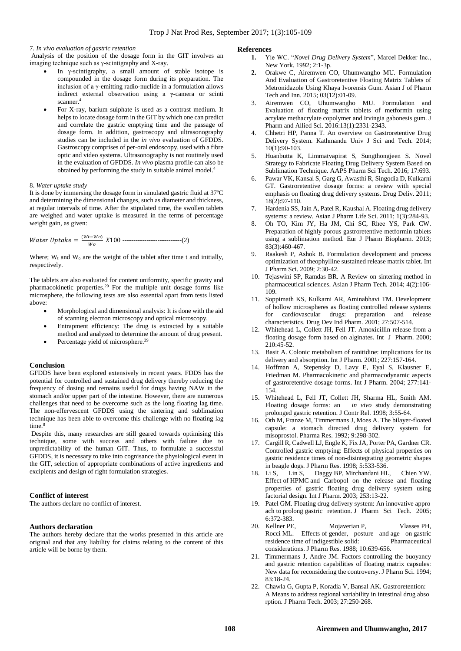# 7. *In vivo evaluation of gastric retention*

Analysis of the position of the dosage form in the GIT involves an imaging technique such as  $γ$ -scintigraphy and X-ray.

- In  $\gamma$ -scintigraphy, a small amount of stable isotope is compounded in the dosage form during its preparation. The inclusion of a γ-emitting radio-nuclide in a formulation allows indirect external observation using a γ-camera or scinti scanner.<sup>4</sup>
- For X-ray, barium sulphate is used as a contrast medium. It helps to locate dosage form in the GIT by which one can predict and correlate the gastric emptying time and the passage of dosage form. In addition, gastroscopy and ultrasonography studies can be included in the *in vivo* evaluation of GFDDS. Gastroscopy comprises of per-oral endoscopy, used with a fibre optic and video systems. Ultrasonography is not routinely used in the evaluation of GFDDS. *In vivo* plasma profile can also be obtained by performing the study in suitable animal model.<sup>4</sup>

#### 8. *Water uptake study*

It is done by immersing the dosage form in simulated gastric fluid at 37ºC and determining the dimensional changes, such as diameter and thickness, at regular intervals of time. After the stipulated time, the swollen tablets are weighed and water uptake is measured in the terms of percentage weight gain, as given:

Water Uptake = 
$$
\frac{(Wt-Wo)}{Wo} X100
$$
.................(2)

Where;  $W_t$  and  $W_0$  are the weight of the tablet after time t and initially, respectively.

The tablets are also evaluated for content uniformity, specific gravity and pharmacokinetic properties. <sup>29</sup> For the multiple unit dosage forms like microsphere, the following tests are also essential apart from tests listed above:

- Morphological and dimensional analysis: It is done with the aid of scanning electron microscopy and optical microscopy.
- Entrapment efficiency: The drug is extracted by a suitable method and analyzed to determine the amount of drug present.
- Percentage yield of microsphere.<sup>29</sup>

# **Conclusion**

GFDDS have been explored extensively in recent years. FDDS has the potential for controlled and sustained drug delivery thereby reducing the frequency of dosing and remains useful for drugs having NAW in the stomach and/or upper part of the intestine. However, there are numerous challenges that need to be overcome such as the long floating lag time. The non-effervescent GFDDS using the sintering and sublimation technique has been able to overcome this challenge with no floating lag time.<sup>8</sup>

Despite this, many researches are still geared towards optimising this technique, some with success and others with failure due to unpredictability of the human GIT. Thus, to formulate a successful GFDDS, it is necessary to take into cognisance the physiological event in the GIT, selection of appropriate combinations of active ingredients and excipients and design of right formulation strategies.

# **Conflict of interest**

The authors declare no conflict of interest.

### **Authors declaration**

The authors hereby declare that the works presented in this article are original and that any liability for claims relating to the content of this article will be borne by them.

# **References**

- **1.** Yie WC. "*Novel Drug Delivery System*", Marcel Dekker Inc., New York. 1992; 2:1-3p.
- **2.** Orakwe C, Airemwen CO, Uhumwangho MU. Formulation And Evaluation of Gastroretentive Floating Matrix Tablets of Metronidazole Using Khaya Ivorensis Gum. Asian J of Pharm Tech and Inn. 2015; 03(12):01-09.
- 3. Airemwen CO, Uhumwangho MU. Formulation and Evaluation of floating matrix tablets of metformin using acrylate methacrylate copolymer and Irvingia gabonesis gum. J Pharm and Allied Sci. 2016:13(1):2331-2343.
- 4. Chhetri HP, Panna T. An overview on Gastroretentive Drug Delivery System. Kathmandu Univ J Sci and Tech. 2014; 10(1):90-103.
- 5. Huanbutta K, Limmatvapirat S, Sungthongjeen S. Novel Strategy to Fabricate Floating Drug Delivery System Based on Sublimation Technique. AAPS Pharm Sci Tech. 2016; 17:693.
- 6. Pawar VK, Kansal S, Garg G, Awasthi R, Singodia D, Kulkarni GT. Gastroretentive dosage forms: a review with special emphasis on floating drug delivery systems. Drug Deliv. 2011; 18(2):97-110.
- 7. Hardenia SS, Jain A, Patel R, Kaushal A. Floating drug delivery systems: a review. Asian J Pharm Life Sci. 2011; 1(3):284-93.
- 8. Oh TO, Kim JY, Ha JM, Chi SC, Rhee YS, Park CW. Preparation of highly porous gastroretentive metformin tablets using a sublimation method. Eur J Pharm Biopharm. 2013; 83(3):460-467.
- 9. Raakesh P, Ashok B. Formulation development and process optimization of theophylline sustained release matrix tablet. Int J Pharm Sci. 2009; 2:30-42.
- 10. Tejaswini SP, Ramdas BR. A Review on sintering method in pharmaceutical sciences. Asian J Pharm Tech. 2014; 4(2):106- 109.
- 11. Soppimath KS, Kulkarni AR, Aminabhavi TM. Development of hollow microspheres as floating controlled release systems for cardiovascular drugs: preparation and release characteristics. Drug Dev Ind Pharm. 2001; 27:507-514.
- 12. Whitehead L, Collett JH, Fell JT. Amoxicillin release from a floating dosage form based on alginates. Int J Pharm. 2000; 210:45-52.
- 13. Basit A. Colonic metabolism of ranitidine: implications for its delivery and absorption. Int J Pharm. 2001; 227:157-164.
- 14. Hoffman A, Stepensky D, Lavy E, Eyal S, Klausner E, Friedman M. Pharmacokinetic and pharmacodynamic aspects of gastroretentive dosage forms. Int J Pharm. 2004; 277:141- 154.
- 15. Whitehead L, Fell JT, Collett JH, Sharma HL, Smith AM. Floating dosage forms: an *in vivo* study demonstrating prolonged gastric retention. J Contr Rel. 1998; 3:55-64.
- 16. Oth M, Franze M, Timmermans J, Moes A. The bilayer-floated capsule: a stomach directed drug delivery system for misoprostol. Pharma Res. 1992; 9:298-302.
- 17. Cargill R, Cadwell LJ, Engle K, Fix JA, Porter PA, Gardner CR. Controlled gastric emptying: Effects of physical properties on gastric residence times of non-disintegrating geometric shapes in beagle dogs. J Pharm Res. 1998; 5:533-536.
- 18. Li S, Lin S, Daggy BP, Mirchandani HL, Chien YW. Effect of HPMC and Carbopol on the release and floating properties of gastric floating drug delivery system using factorial design. Int J Pharm. 2003; 253:13-22.
- 19. Patel GM. Floating drug delivery system: An innovative appro ach to prolong gastric retention. J Pharm Sci Tech. 2005; 6:372-383.
- 20. Kellner PE, Mojaverian P, Vlasses PH, Rocci ML. Effects of gender, posture and age on gastric residence time of indigestible solid: Pharmaceutical considerations. J Pharm Res. 1988; 10:639-656.
- 21. Timmermans J, Andre JM. Factors controlling the buoyancy and gastric retention capabilities of floating matrix capsules: New data for reconsidering the controversy. J Pharm Sci. 1994; 83:18-24.
- 22. Chawla G, Gupta P, Koradia V, Bansal AK. Gastroretention: A Means to address regional variability in intestinal drug abso rption. J Pharm Tech. 2003; 27:250‐268.